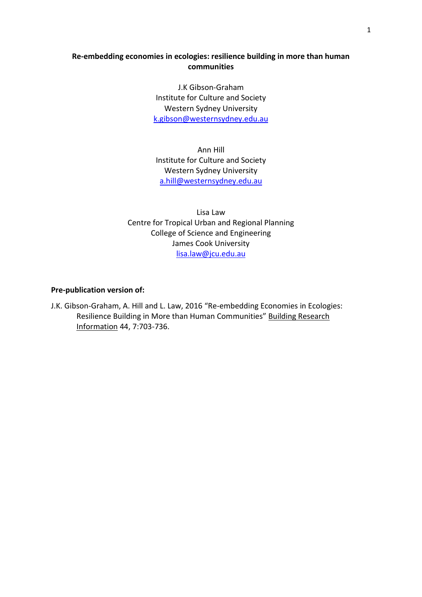## **Re-embedding economies in ecologies: resilience building in more than human communities**

J.K Gibson-Graham Institute for Culture and Society Western Sydney University [k.gibson@westernsydney.edu.au](mailto:k.gibson@westernsydney.edu.au)

Ann Hill Institute for Culture and Society Western Sydney University [a.hill@westernsydney.edu.au](mailto:a.hill@westernsydney.edu.au)

Lisa Law Centre for Tropical Urban and Regional Planning College of Science and Engineering James Cook University [lisa.law@jcu.edu.au](mailto:lisa.law@jcu.edu.au)

## **Pre-publication version of:**

J.K. Gibson-Graham, A. Hill and L. Law, 2016 "Re-embedding Economies in Ecologies: Resilience Building in More than Human Communities" Building Research Information 44, 7:703-736.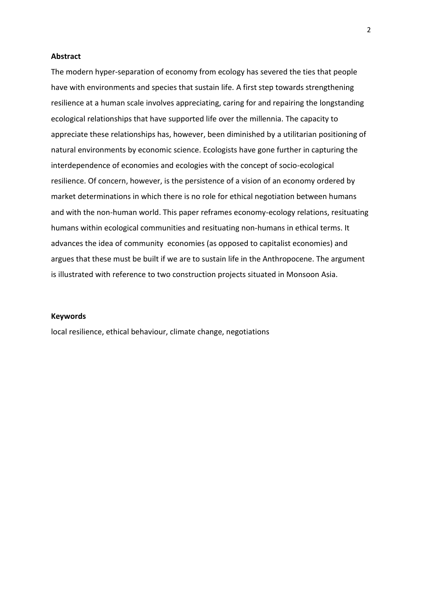#### **Abstract**

The modern hyper-separation of economy from ecology has severed the ties that people have with environments and species that sustain life. A first step towards strengthening resilience at a human scale involves appreciating, caring for and repairing the longstanding ecological relationships that have supported life over the millennia. The capacity to appreciate these relationships has, however, been diminished by a utilitarian positioning of natural environments by economic science. Ecologists have gone further in capturing the interdependence of economies and ecologies with the concept of socio-ecological resilience. Of concern, however, is the persistence of a vision of an economy ordered by market determinations in which there is no role for ethical negotiation between humans and with the non-human world. This paper reframes economy-ecology relations, resituating humans within ecological communities and resituating non-humans in ethical terms. It advances the idea of community economies (as opposed to capitalist economies) and argues that these must be built if we are to sustain life in the Anthropocene. The argument is illustrated with reference to two construction projects situated in Monsoon Asia.

## **Keywords**

local resilience, ethical behaviour, climate change, negotiations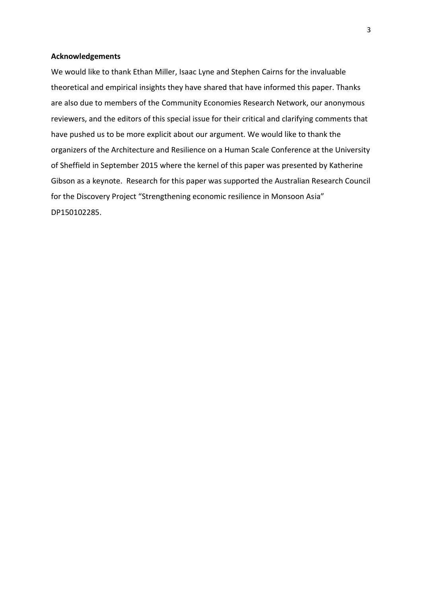## **Acknowledgements**

We would like to thank Ethan Miller, Isaac Lyne and Stephen Cairns for the invaluable theoretical and empirical insights they have shared that have informed this paper. Thanks are also due to members of the Community Economies Research Network, our anonymous reviewers, and the editors of this special issue for their critical and clarifying comments that have pushed us to be more explicit about our argument. We would like to thank the organizers of the Architecture and Resilience on a Human Scale Conference at the University of Sheffield in September 2015 where the kernel of this paper was presented by Katherine Gibson as a keynote. Research for this paper was supported the Australian Research Council for the Discovery Project "Strengthening economic resilience in Monsoon Asia" DP150102285.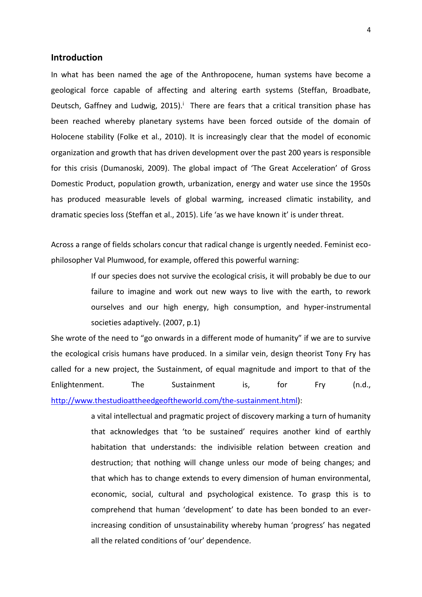### **Introduction**

In what has been named the age of the Anthropocene, human systems have become a geological force capable of affecting and altering earth systems (Steffan, Broadbate, Deutsch, Gaffney and Ludwig, 2015).<sup>i</sup> There are fears that a critical transition phase has been reached whereby planetary systems have been forced outside of the domain of Holocene stability (Folke et al., 2010). It is increasingly clear that the model of economic organization and growth that has driven development over the past 200 years is responsible for this crisis (Dumanoski, 2009). The global impact of 'The Great Acceleration' of Gross Domestic Product, population growth, urbanization, energy and water use since the 1950s has produced measurable levels of global warming, increased climatic instability, and dramatic species loss (Steffan et al., 2015). Life 'as we have known it' is under threat.

Across a range of fields scholars concur that radical change is urgently needed. Feminist ecophilosopher Val Plumwood, for example, offered this powerful warning:

> If our species does not survive the ecological crisis, it will probably be due to our failure to imagine and work out new ways to live with the earth, to rework ourselves and our high energy, high consumption, and hyper-instrumental societies adaptively. (2007, p.1)

She wrote of the need to "go onwards in a different mode of humanity" if we are to survive the ecological crisis humans have produced. In a similar vein, design theorist Tony Fry has called for a new project, the Sustainment, of equal magnitude and import to that of the Enlightenment. The Sustainment is, for Fry (n.d., [http://www.thestudioattheedgeoftheworld.com/the-sustainment.html\)](http://www.thestudioattheedgeoftheworld.com/the-sustainment.html):

> a vital intellectual and pragmatic project of discovery marking a turn of humanity that acknowledges that 'to be sustained' requires another kind of earthly habitation that understands: the indivisible relation between creation and destruction; that nothing will change unless our mode of being changes; and that which has to change extends to every dimension of human environmental, economic, social, cultural and psychological existence. To grasp this is to comprehend that human 'development' to date has been bonded to an everincreasing condition of unsustainability whereby human 'progress' has negated all the related conditions of 'our' dependence.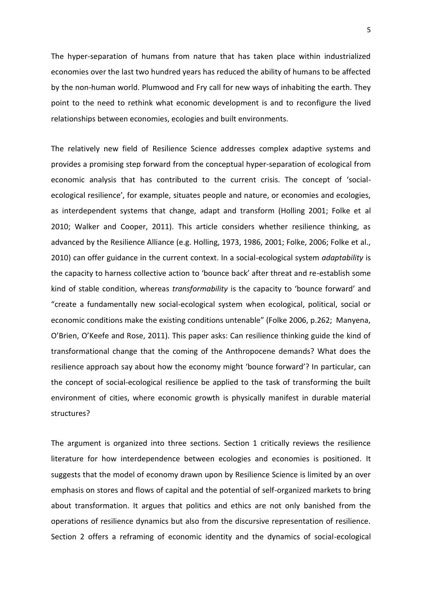The hyper-separation of humans from nature that has taken place within industrialized economies over the last two hundred years has reduced the ability of humans to be affected by the non-human world. Plumwood and Fry call for new ways of inhabiting the earth. They point to the need to rethink what economic development is and to reconfigure the lived relationships between economies, ecologies and built environments.

The relatively new field of Resilience Science addresses complex adaptive systems and provides a promising step forward from the conceptual hyper-separation of ecological from economic analysis that has contributed to the current crisis. The concept of 'socialecological resilience', for example, situates people and nature, or economies and ecologies, as interdependent systems that change, adapt and transform (Holling 2001; Folke et al 2010; Walker and Cooper, 2011). This article considers whether resilience thinking, as advanced by the Resilience Alliance (e.g. Holling, 1973, 1986, 2001; Folke, 2006; Folke et al., 2010) can offer guidance in the current context. In a social-ecological system *adaptability* is the capacity to harness collective action to 'bounce back' after threat and re-establish some kind of stable condition, whereas *transformability* is the capacity to 'bounce forward' and "create a fundamentally new social-ecological system when ecological, political, social or economic conditions make the existing conditions untenable" (Folke 2006, p.262; Manyena, O'Brien, O'Keefe and Rose, 2011). This paper asks: Can resilience thinking guide the kind of transformational change that the coming of the Anthropocene demands? What does the resilience approach say about how the economy might 'bounce forward'? In particular, can the concept of social-ecological resilience be applied to the task of transforming the built environment of cities, where economic growth is physically manifest in durable material structures?

The argument is organized into three sections. Section 1 critically reviews the resilience literature for how interdependence between ecologies and economies is positioned. It suggests that the model of economy drawn upon by Resilience Science is limited by an over emphasis on stores and flows of capital and the potential of self-organized markets to bring about transformation. It argues that politics and ethics are not only banished from the operations of resilience dynamics but also from the discursive representation of resilience. Section 2 offers a reframing of economic identity and the dynamics of social-ecological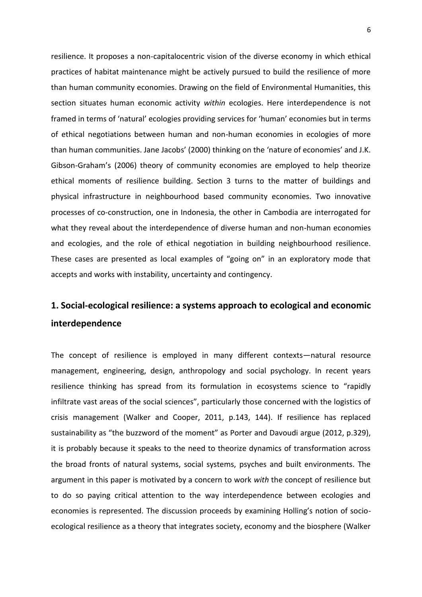resilience. It proposes a non-capitalocentric vision of the diverse economy in which ethical practices of habitat maintenance might be actively pursued to build the resilience of more than human community economies. Drawing on the field of Environmental Humanities, this section situates human economic activity *within* ecologies. Here interdependence is not framed in terms of 'natural' ecologies providing services for 'human' economies but in terms of ethical negotiations between human and non-human economies in ecologies of more than human communities. Jane Jacobs' (2000) thinking on the 'nature of economies' and J.K. Gibson-Graham's (2006) theory of community economies are employed to help theorize ethical moments of resilience building. Section 3 turns to the matter of buildings and physical infrastructure in neighbourhood based community economies. Two innovative processes of co-construction, one in Indonesia, the other in Cambodia are interrogated for what they reveal about the interdependence of diverse human and non-human economies and ecologies, and the role of ethical negotiation in building neighbourhood resilience. These cases are presented as local examples of "going on" in an exploratory mode that accepts and works with instability, uncertainty and contingency.

# **1. Social-ecological resilience: a systems approach to ecological and economic interdependence**

The concept of resilience is employed in many different contexts—natural resource management, engineering, design, anthropology and social psychology. In recent years resilience thinking has spread from its formulation in ecosystems science to "rapidly infiltrate vast areas of the social sciences", particularly those concerned with the logistics of crisis management (Walker and Cooper, 2011, p.143, 144). If resilience has replaced sustainability as "the buzzword of the moment" as Porter and Davoudi argue (2012, p.329), it is probably because it speaks to the need to theorize dynamics of transformation across the broad fronts of natural systems, social systems, psyches and built environments. The argument in this paper is motivated by a concern to work *with* the concept of resilience but to do so paying critical attention to the way interdependence between ecologies and economies is represented. The discussion proceeds by examining Holling's notion of socioecological resilience as a theory that integrates society, economy and the biosphere (Walker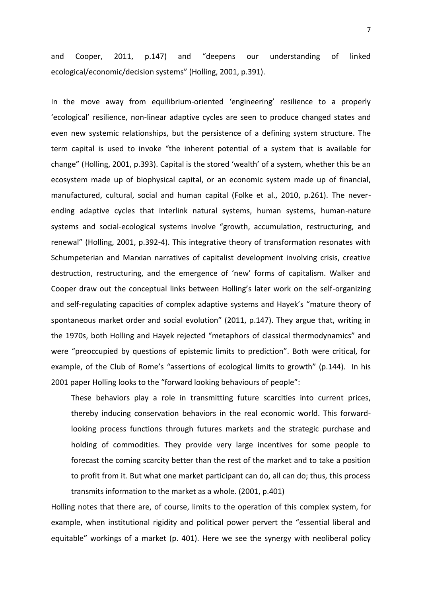and Cooper, 2011, p.147) and "deepens our understanding of linked ecological/economic/decision systems" (Holling, 2001, p.391).

In the move away from equilibrium-oriented 'engineering' resilience to a properly 'ecological' resilience, non-linear adaptive cycles are seen to produce changed states and even new systemic relationships, but the persistence of a defining system structure. The term capital is used to invoke "the inherent potential of a system that is available for change" (Holling, 2001, p.393). Capital is the stored 'wealth' of a system, whether this be an ecosystem made up of biophysical capital, or an economic system made up of financial, manufactured, cultural, social and human capital (Folke et al., 2010, p.261). The neverending adaptive cycles that interlink natural systems, human systems, human-nature systems and social-ecological systems involve "growth, accumulation, restructuring, and renewal" (Holling, 2001, p.392-4). This integrative theory of transformation resonates with Schumpeterian and Marxian narratives of capitalist development involving crisis, creative destruction, restructuring, and the emergence of 'new' forms of capitalism. Walker and Cooper draw out the conceptual links between Holling's later work on the self-organizing and self-regulating capacities of complex adaptive systems and Hayek's "mature theory of spontaneous market order and social evolution" (2011, p.147). They argue that, writing in the 1970s, both Holling and Hayek rejected "metaphors of classical thermodynamics" and were "preoccupied by questions of epistemic limits to prediction". Both were critical, for example, of the Club of Rome's "assertions of ecological limits to growth" (p.144). In his 2001 paper Holling looks to the "forward looking behaviours of people":

These behaviors play a role in transmitting future scarcities into current prices, thereby inducing conservation behaviors in the real economic world. This forwardlooking process functions through futures markets and the strategic purchase and holding of commodities. They provide very large incentives for some people to forecast the coming scarcity better than the rest of the market and to take a position to profit from it. But what one market participant can do, all can do; thus, this process transmits information to the market as a whole. (2001, p.401)

Holling notes that there are, of course, limits to the operation of this complex system, for example, when institutional rigidity and political power pervert the "essential liberal and equitable" workings of a market (p. 401). Here we see the synergy with neoliberal policy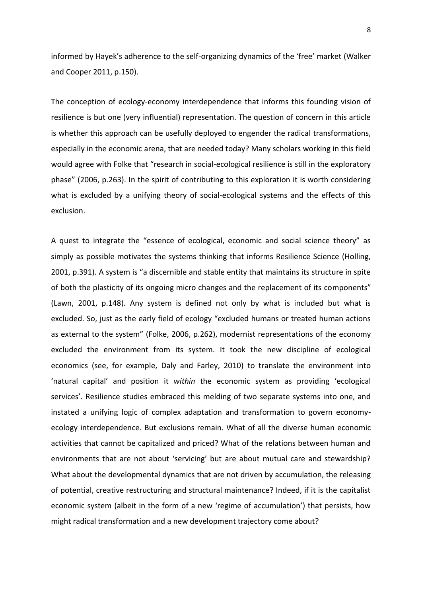informed by Hayek's adherence to the self-organizing dynamics of the 'free' market (Walker and Cooper 2011, p.150).

The conception of ecology-economy interdependence that informs this founding vision of resilience is but one (very influential) representation. The question of concern in this article is whether this approach can be usefully deployed to engender the radical transformations, especially in the economic arena, that are needed today? Many scholars working in this field would agree with Folke that "research in social-ecological resilience is still in the exploratory phase" (2006, p.263). In the spirit of contributing to this exploration it is worth considering what is excluded by a unifying theory of social-ecological systems and the effects of this exclusion.

A quest to integrate the "essence of ecological, economic and social science theory" as simply as possible motivates the systems thinking that informs Resilience Science (Holling, 2001, p.391). A system is "a discernible and stable entity that maintains its structure in spite of both the plasticity of its ongoing micro changes and the replacement of its components" (Lawn, 2001, p.148). Any system is defined not only by what is included but what is excluded. So, just as the early field of ecology "excluded humans or treated human actions as external to the system" (Folke, 2006, p.262), modernist representations of the economy excluded the environment from its system. It took the new discipline of ecological economics (see, for example, Daly and Farley, 2010) to translate the environment into 'natural capital' and position it *within* the economic system as providing 'ecological services'. Resilience studies embraced this melding of two separate systems into one, and instated a unifying logic of complex adaptation and transformation to govern economyecology interdependence. But exclusions remain. What of all the diverse human economic activities that cannot be capitalized and priced? What of the relations between human and environments that are not about 'servicing' but are about mutual care and stewardship? What about the developmental dynamics that are not driven by accumulation, the releasing of potential, creative restructuring and structural maintenance? Indeed, if it is the capitalist economic system (albeit in the form of a new 'regime of accumulation') that persists, how might radical transformation and a new development trajectory come about?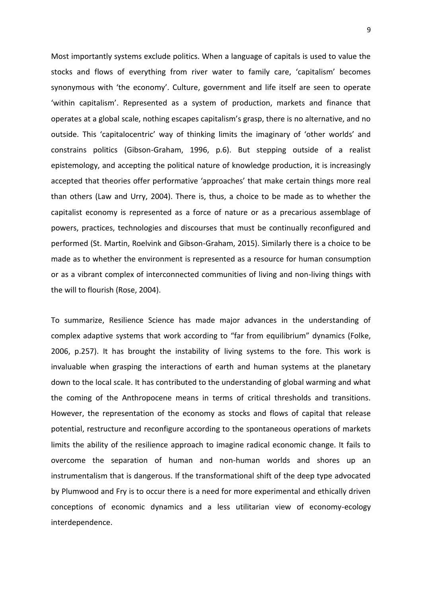Most importantly systems exclude politics. When a language of capitals is used to value the stocks and flows of everything from river water to family care, 'capitalism' becomes synonymous with 'the economy'. Culture, government and life itself are seen to operate 'within capitalism'. Represented as a system of production, markets and finance that operates at a global scale, nothing escapes capitalism's grasp, there is no alternative, and no outside. This 'capitalocentric' way of thinking limits the imaginary of 'other worlds' and constrains politics (Gibson-Graham, 1996, p.6). But stepping outside of a realist epistemology, and accepting the political nature of knowledge production, it is increasingly accepted that theories offer performative 'approaches' that make certain things more real than others (Law and Urry, 2004). There is, thus, a choice to be made as to whether the capitalist economy is represented as a force of nature or as a precarious assemblage of powers, practices, technologies and discourses that must be continually reconfigured and performed (St. Martin, Roelvink and Gibson-Graham, 2015). Similarly there is a choice to be made as to whether the environment is represented as a resource for human consumption or as a vibrant complex of interconnected communities of living and non-living things with the will to flourish (Rose, 2004).

To summarize, Resilience Science has made major advances in the understanding of complex adaptive systems that work according to "far from equilibrium" dynamics (Folke, 2006, p.257). It has brought the instability of living systems to the fore. This work is invaluable when grasping the interactions of earth and human systems at the planetary down to the local scale. It has contributed to the understanding of global warming and what the coming of the Anthropocene means in terms of critical thresholds and transitions. However, the representation of the economy as stocks and flows of capital that release potential, restructure and reconfigure according to the spontaneous operations of markets limits the ability of the resilience approach to imagine radical economic change. It fails to overcome the separation of human and non-human worlds and shores up an instrumentalism that is dangerous. If the transformational shift of the deep type advocated by Plumwood and Fry is to occur there is a need for more experimental and ethically driven conceptions of economic dynamics and a less utilitarian view of economy-ecology interdependence.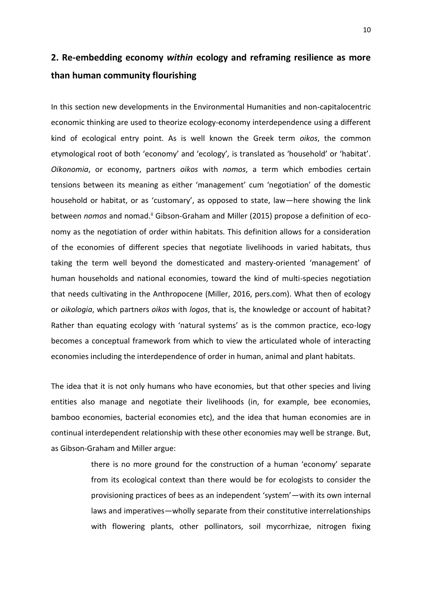## **2. Re-embedding economy** *within* **ecology and reframing resilience as more than human community flourishing**

In this section new developments in the Environmental Humanities and non-capitalocentric economic thinking are used to theorize ecology-economy interdependence using a different kind of ecological entry point. As is well known the Greek term *oikos*, the common etymological root of both 'economy' and 'ecology'*,* is translated as 'household' or 'habitat'. *Oikonomia*, or economy, partners *oikos* with *nomos*, a term which embodies certain tensions between its meaning as either 'management' cum 'negotiation' of the domestic household or habitat, or as 'customary', as opposed to state, law—here showing the link between *nomos* and nomad.<sup>ii</sup> Gibson-Graham and Miller (2015) propose a definition of economy as the negotiation of order within habitats. This definition allows for a consideration of the economies of different species that negotiate livelihoods in varied habitats, thus taking the term well beyond the domesticated and mastery-oriented 'management' of human households and national economies, toward the kind of multi-species negotiation that needs cultivating in the Anthropocene (Miller, 2016, pers.com). What then of ecology or *oikologia*, which partners *oikos* with *logos*, that is, the knowledge or account of habitat? Rather than equating ecology with 'natural systems' as is the common practice, eco-logy becomes a conceptual framework from which to view the articulated whole of interacting economies including the interdependence of order in human, animal and plant habitats.

The idea that it is not only humans who have economies, but that other species and living entities also manage and negotiate their livelihoods (in, for example, bee economies, bamboo economies, bacterial economies etc), and the idea that human economies are in continual interdependent relationship with these other economies may well be strange. But, as Gibson-Graham and Miller argue:

> there is no more ground for the construction of a human 'economy' separate from its ecological context than there would be for ecologists to consider the provisioning practices of bees as an independent 'system'—with its own internal laws and imperatives—wholly separate from their constitutive interrelationships with flowering plants, other pollinators, soil mycorrhizae, nitrogen fixing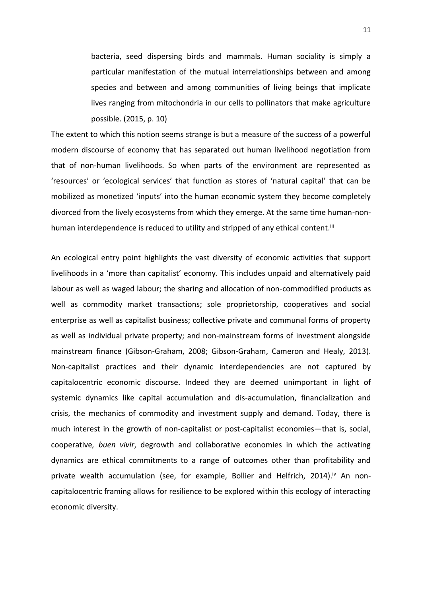bacteria, seed dispersing birds and mammals. Human sociality is simply a particular manifestation of the mutual interrelationships between and among species and between and among communities of living beings that implicate lives ranging from mitochondria in our cells to pollinators that make agriculture possible. (2015, p. 10)

The extent to which this notion seems strange is but a measure of the success of a powerful modern discourse of economy that has separated out human livelihood negotiation from that of non-human livelihoods. So when parts of the environment are represented as 'resources' or 'ecological services' that function as stores of 'natural capital' that can be mobilized as monetized 'inputs' into the human economic system they become completely divorced from the lively ecosystems from which they emerge. At the same time human-nonhuman interdependence is reduced to utility and stripped of any ethical content.<sup>iii</sup>

An ecological entry point highlights the vast diversity of economic activities that support livelihoods in a 'more than capitalist' economy. This includes unpaid and alternatively paid labour as well as waged labour; the sharing and allocation of non-commodified products as well as commodity market transactions; sole proprietorship, cooperatives and social enterprise as well as capitalist business; collective private and communal forms of property as well as individual private property; and non-mainstream forms of investment alongside mainstream finance (Gibson-Graham, 2008; Gibson-Graham, Cameron and Healy, 2013). Non-capitalist practices and their dynamic interdependencies are not captured by capitalocentric economic discourse. Indeed they are deemed unimportant in light of systemic dynamics like capital accumulation and dis-accumulation, financialization and crisis, the mechanics of commodity and investment supply and demand. Today, there is much interest in the growth of non-capitalist or post-capitalist economies—that is, social, cooperative*, buen vivir*, degrowth and collaborative economies in which the activating dynamics are ethical commitments to a range of outcomes other than profitability and private wealth accumulation (see, for example, Bollier and Helfrich, 2014).<sup>iv</sup> An noncapitalocentric framing allows for resilience to be explored within this ecology of interacting economic diversity.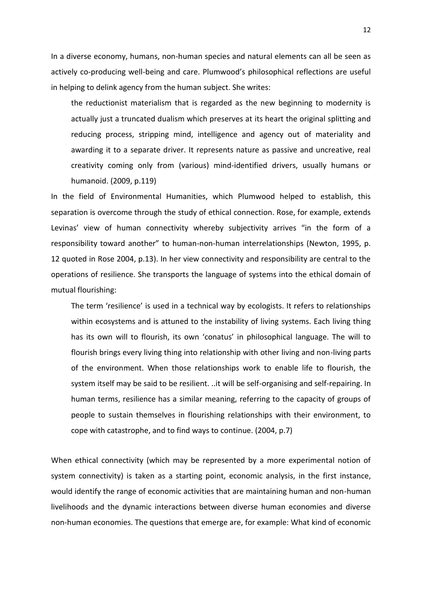In a diverse economy, humans, non-human species and natural elements can all be seen as actively co-producing well-being and care. Plumwood's philosophical reflections are useful in helping to delink agency from the human subject. She writes:

the reductionist materialism that is regarded as the new beginning to modernity is actually just a truncated dualism which preserves at its heart the original splitting and reducing process, stripping mind, intelligence and agency out of materiality and awarding it to a separate driver. It represents nature as passive and uncreative, real creativity coming only from (various) mind-identified drivers, usually humans or humanoid. (2009, p.119)

In the field of Environmental Humanities, which Plumwood helped to establish, this separation is overcome through the study of ethical connection. Rose, for example, extends Levinas' view of human connectivity whereby subjectivity arrives "in the form of a responsibility toward another" to human-non-human interrelationships (Newton, 1995, p. 12 quoted in Rose 2004, p.13). In her view connectivity and responsibility are central to the operations of resilience. She transports the language of systems into the ethical domain of mutual flourishing:

The term 'resilience' is used in a technical way by ecologists. It refers to relationships within ecosystems and is attuned to the instability of living systems. Each living thing has its own will to flourish, its own 'conatus' in philosophical language. The will to flourish brings every living thing into relationship with other living and non-living parts of the environment. When those relationships work to enable life to flourish, the system itself may be said to be resilient. ..it will be self-organising and self-repairing. In human terms, resilience has a similar meaning, referring to the capacity of groups of people to sustain themselves in flourishing relationships with their environment, to cope with catastrophe, and to find ways to continue. (2004, p.7)

When ethical connectivity (which may be represented by a more experimental notion of system connectivity) is taken as a starting point, economic analysis, in the first instance, would identify the range of economic activities that are maintaining human and non-human livelihoods and the dynamic interactions between diverse human economies and diverse non-human economies. The questions that emerge are, for example: What kind of economic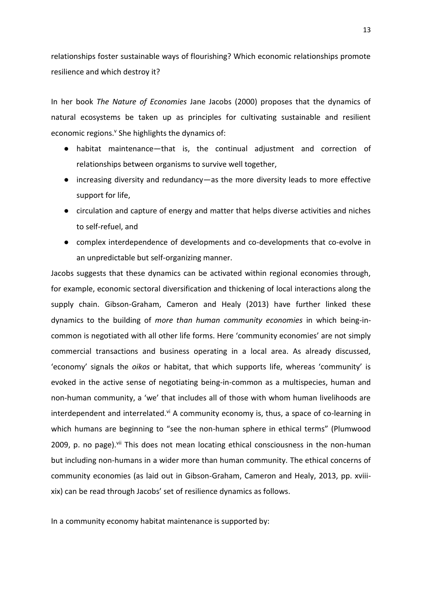relationships foster sustainable ways of flourishing? Which economic relationships promote resilience and which destroy it?

In her book *The Nature of Economies* Jane Jacobs (2000) proposes that the dynamics of natural ecosystems be taken up as principles for cultivating sustainable and resilient economic regions.<sup>v</sup> She highlights the dynamics of:

- habitat maintenance—that is, the continual adjustment and correction of relationships between organisms to survive well together,
- increasing diversity and redundancy—as the more diversity leads to more effective support for life,
- circulation and capture of energy and matter that helps diverse activities and niches to self-refuel, and
- complex interdependence of developments and co-developments that co-evolve in an unpredictable but self-organizing manner.

Jacobs suggests that these dynamics can be activated within regional economies through, for example, economic sectoral diversification and thickening of local interactions along the supply chain. Gibson-Graham, Cameron and Healy (2013) have further linked these dynamics to the building of *more than human community economies* in which being-incommon is negotiated with all other life forms. Here 'community economies' are not simply commercial transactions and business operating in a local area. As already discussed, 'economy' signals the *oikos* or habitat, that which supports life, whereas 'community' is evoked in the active sense of negotiating being-in-common as a multispecies, human and non-human community, a 'we' that includes all of those with whom human livelihoods are interdependent and interrelated.<sup>vi</sup> A community economy is, thus, a space of co-learning in which humans are beginning to "see the non-human sphere in ethical terms" (Plumwood 2009, p. no page). vii This does not mean locating ethical consciousness in the non-human but including non-humans in a wider more than human community. The ethical concerns of community economies (as laid out in Gibson-Graham, Cameron and Healy, 2013, pp. xviiixix) can be read through Jacobs' set of resilience dynamics as follows.

In a community economy habitat maintenance is supported by: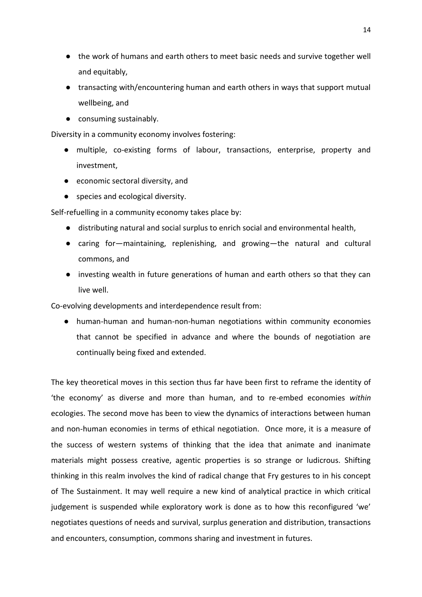- the work of humans and earth others to meet basic needs and survive together well and equitably,
- transacting with/encountering human and earth others in ways that support mutual wellbeing, and
- consuming sustainably.

Diversity in a community economy involves fostering:

- multiple, co-existing forms of labour, transactions, enterprise, property and investment,
- economic sectoral diversity, and
- species and ecological diversity.

Self-refuelling in a community economy takes place by:

- distributing natural and social surplus to enrich social and environmental health,
- caring for—maintaining, replenishing, and growing—the natural and cultural commons, and
- investing wealth in future generations of human and earth others so that they can live well.

Co-evolving developments and interdependence result from:

● human-human and human-non-human negotiations within community economies that cannot be specified in advance and where the bounds of negotiation are continually being fixed and extended.

The key theoretical moves in this section thus far have been first to reframe the identity of 'the economy' as diverse and more than human, and to re-embed economies *within* ecologies. The second move has been to view the dynamics of interactions between human and non-human economies in terms of ethical negotiation. Once more, it is a measure of the success of western systems of thinking that the idea that animate and inanimate materials might possess creative, agentic properties is so strange or ludicrous. Shifting thinking in this realm involves the kind of radical change that Fry gestures to in his concept of The Sustainment. It may well require a new kind of analytical practice in which critical judgement is suspended while exploratory work is done as to how this reconfigured 'we' negotiates questions of needs and survival, surplus generation and distribution, transactions and encounters, consumption, commons sharing and investment in futures.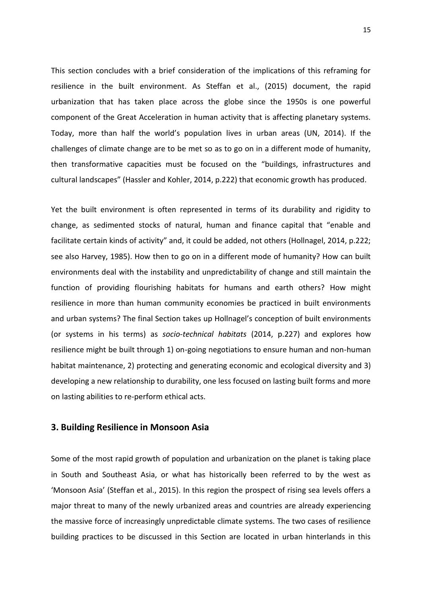This section concludes with a brief consideration of the implications of this reframing for resilience in the built environment. As Steffan et al., (2015) document, the rapid urbanization that has taken place across the globe since the 1950s is one powerful component of the Great Acceleration in human activity that is affecting planetary systems. Today, more than half the world's population lives in urban areas (UN, 2014). If the challenges of climate change are to be met so as to go on in a different mode of humanity, then transformative capacities must be focused on the "buildings, infrastructures and cultural landscapes" (Hassler and Kohler, 2014, p.222) that economic growth has produced.

Yet the built environment is often represented in terms of its durability and rigidity to change, as sedimented stocks of natural, human and finance capital that "enable and facilitate certain kinds of activity" and, it could be added, not others (Hollnagel, 2014, p.222; see also Harvey, 1985). How then to go on in a different mode of humanity? How can built environments deal with the instability and unpredictability of change and still maintain the function of providing flourishing habitats for humans and earth others? How might resilience in more than human community economies be practiced in built environments and urban systems? The final Section takes up Hollnagel's conception of built environments (or systems in his terms) as *socio-technical habitats* (2014, p.227) and explores how resilience might be built through 1) on-going negotiations to ensure human and non-human habitat maintenance, 2) protecting and generating economic and ecological diversity and 3) developing a new relationship to durability, one less focused on lasting built forms and more on lasting abilities to re-perform ethical acts.

## **3. Building Resilience in Monsoon Asia**

Some of the most rapid growth of population and urbanization on the planet is taking place in South and Southeast Asia, or what has historically been referred to by the west as 'Monsoon Asia' (Steffan et al., 2015). In this region the prospect of rising sea levels offers a major threat to many of the newly urbanized areas and countries are already experiencing the massive force of increasingly unpredictable climate systems. The two cases of resilience building practices to be discussed in this Section are located in urban hinterlands in this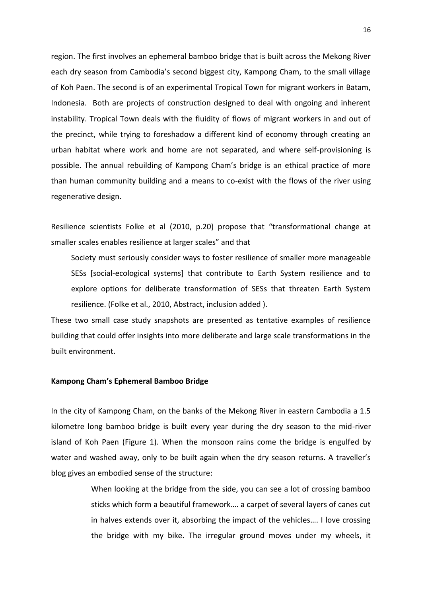region. The first involves an ephemeral bamboo bridge that is built across the Mekong River each dry season from Cambodia's second biggest city, Kampong Cham, to the small village of Koh Paen. The second is of an experimental Tropical Town for migrant workers in Batam, Indonesia. Both are projects of construction designed to deal with ongoing and inherent instability. Tropical Town deals with the fluidity of flows of migrant workers in and out of the precinct, while trying to foreshadow a different kind of economy through creating an urban habitat where work and home are not separated, and where self-provisioning is possible. The annual rebuilding of Kampong Cham's bridge is an ethical practice of more than human community building and a means to co-exist with the flows of the river using regenerative design.

Resilience scientists Folke et al (2010, p.20) propose that "transformational change at smaller scales enables resilience at larger scales" and that

Society must seriously consider ways to foster resilience of smaller more manageable SESs [social-ecological systems] that contribute to Earth System resilience and to explore options for deliberate transformation of SESs that threaten Earth System resilience. (Folke et al., 2010, Abstract, inclusion added ).

These two small case study snapshots are presented as tentative examples of resilience building that could offer insights into more deliberate and large scale transformations in the built environment.

#### **Kampong Cham's Ephemeral Bamboo Bridge**

In the city of Kampong Cham, on the banks of the Mekong River in eastern Cambodia a 1.5 kilometre long bamboo bridge is built every year during the dry season to the mid-river island of Koh Paen (Figure 1). When the monsoon rains come the bridge is engulfed by water and washed away, only to be built again when the dry season returns. A traveller's blog gives an embodied sense of the structure:

> When looking at the bridge from the side, you can see a lot of crossing bamboo sticks which form a beautiful framework…. a carpet of several layers of canes cut in halves extends over it, absorbing the impact of the vehicles…. I love crossing the bridge with my bike. The irregular ground moves under my wheels, it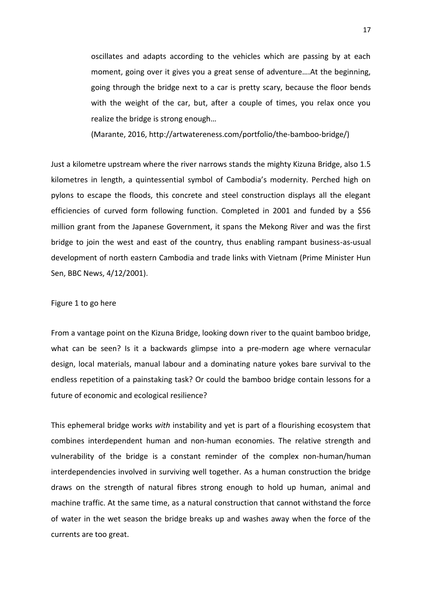oscillates and adapts according to the vehicles which are passing by at each moment, going over it gives you a great sense of adventure….At the beginning, going through the bridge next to a car is pretty scary, because the floor bends with the weight of the car, but, after a couple of times, you relax once you realize the bridge is strong enough…

(Marante, 2016, http://artwatereness.com/portfolio/the-bamboo-bridge/)

Just a kilometre upstream where the river narrows stands the mighty Kizuna Bridge, also 1.5 kilometres in length, a quintessential symbol of Cambodia's modernity. Perched high on pylons to escape the floods, this concrete and steel construction displays all the elegant efficiencies of curved form following function. Completed in 2001 and funded by a \$56 million grant from the Japanese Government, it spans the Mekong River and was the first bridge to join the west and east of the country, thus enabling rampant business-as-usual development of north eastern Cambodia and trade links with Vietnam (Prime Minister Hun Sen, BBC News, 4/12/2001).

#### Figure 1 to go here

From a vantage point on the Kizuna Bridge, looking down river to the quaint bamboo bridge, what can be seen? Is it a backwards glimpse into a pre-modern age where vernacular design, local materials, manual labour and a dominating nature yokes bare survival to the endless repetition of a painstaking task? Or could the bamboo bridge contain lessons for a future of economic and ecological resilience?

This ephemeral bridge works *with* instability and yet is part of a flourishing ecosystem that combines interdependent human and non-human economies. The relative strength and vulnerability of the bridge is a constant reminder of the complex non-human/human interdependencies involved in surviving well together. As a human construction the bridge draws on the strength of natural fibres strong enough to hold up human, animal and machine traffic. At the same time, as a natural construction that cannot withstand the force of water in the wet season the bridge breaks up and washes away when the force of the currents are too great.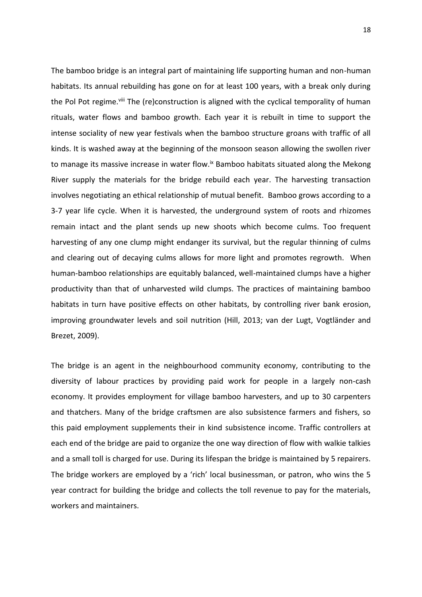The bamboo bridge is an integral part of maintaining life supporting human and non-human habitats. Its annual rebuilding has gone on for at least 100 years, with a break only during the Pol Pot regime.<sup>viii</sup> The (re)construction is aligned with the cyclical temporality of human rituals, water flows and bamboo growth. Each year it is rebuilt in time to support the intense sociality of new year festivals when the bamboo structure groans with traffic of all kinds. It is washed away at the beginning of the monsoon season allowing the swollen river to manage its massive increase in water flow.<sup>ix</sup> Bamboo habitats situated along the Mekong River supply the materials for the bridge rebuild each year. The harvesting transaction involves negotiating an ethical relationship of mutual benefit. Bamboo grows according to a 3-7 year life cycle. When it is harvested, the underground system of roots and rhizomes remain intact and the plant sends up new shoots which become culms. Too frequent harvesting of any one clump might endanger its survival, but the regular thinning of culms and clearing out of decaying culms allows for more light and promotes regrowth. When human-bamboo relationships are equitably balanced, well-maintained clumps have a higher productivity than that of unharvested wild clumps. The practices of maintaining bamboo habitats in turn have positive effects on other habitats, by controlling river bank erosion, improving groundwater levels and soil nutrition (Hill, 2013; van der Lugt, Vogtländer and Brezet, 2009).

The bridge is an agent in the neighbourhood community economy, contributing to the diversity of labour practices by providing paid work for people in a largely non-cash economy. It provides employment for village bamboo harvesters, and up to 30 carpenters and thatchers. Many of the bridge craftsmen are also subsistence farmers and fishers, so this paid employment supplements their in kind subsistence income. Traffic controllers at each end of the bridge are paid to organize the one way direction of flow with walkie talkies and a small toll is charged for use. During its lifespan the bridge is maintained by 5 repairers. The bridge workers are employed by a 'rich' local businessman, or patron, who wins the 5 year contract for building the bridge and collects the toll revenue to pay for the materials, workers and maintainers.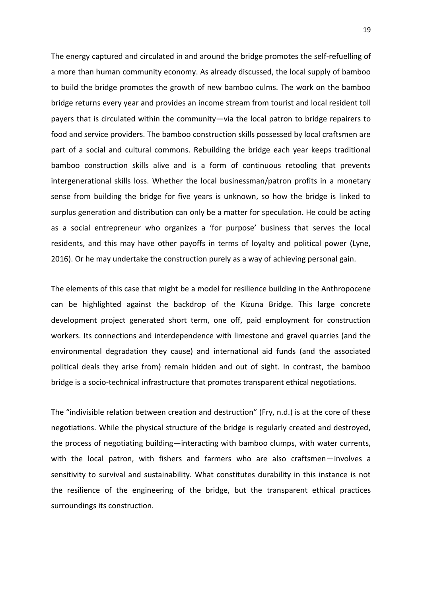The energy captured and circulated in and around the bridge promotes the self-refuelling of a more than human community economy. As already discussed, the local supply of bamboo to build the bridge promotes the growth of new bamboo culms. The work on the bamboo bridge returns every year and provides an income stream from tourist and local resident toll payers that is circulated within the community—via the local patron to bridge repairers to food and service providers. The bamboo construction skills possessed by local craftsmen are part of a social and cultural commons. Rebuilding the bridge each year keeps traditional bamboo construction skills alive and is a form of continuous retooling that prevents intergenerational skills loss. Whether the local businessman/patron profits in a monetary sense from building the bridge for five years is unknown, so how the bridge is linked to surplus generation and distribution can only be a matter for speculation. He could be acting as a social entrepreneur who organizes a 'for purpose' business that serves the local residents, and this may have other payoffs in terms of loyalty and political power (Lyne, 2016). Or he may undertake the construction purely as a way of achieving personal gain.

The elements of this case that might be a model for resilience building in the Anthropocene can be highlighted against the backdrop of the Kizuna Bridge. This large concrete development project generated short term, one off, paid employment for construction workers. Its connections and interdependence with limestone and gravel quarries (and the environmental degradation they cause) and international aid funds (and the associated political deals they arise from) remain hidden and out of sight. In contrast, the bamboo bridge is a socio-technical infrastructure that promotes transparent ethical negotiations.

The "indivisible relation between creation and destruction" (Fry, n.d.) is at the core of these negotiations. While the physical structure of the bridge is regularly created and destroyed, the process of negotiating building—interacting with bamboo clumps, with water currents, with the local patron, with fishers and farmers who are also craftsmen—involves a sensitivity to survival and sustainability. What constitutes durability in this instance is not the resilience of the engineering of the bridge, but the transparent ethical practices surroundings its construction*.*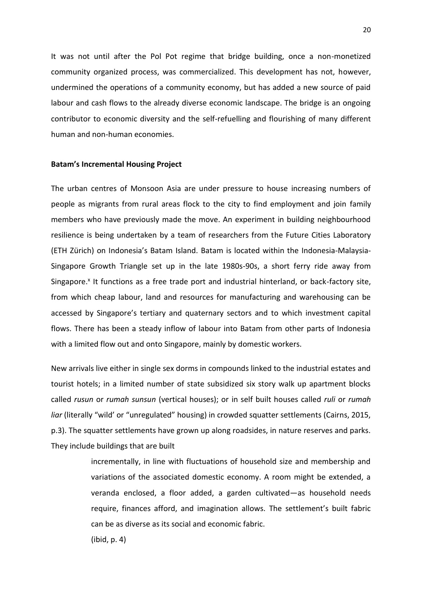It was not until after the Pol Pot regime that bridge building, once a non-monetized community organized process, was commercialized. This development has not, however, undermined the operations of a community economy, but has added a new source of paid labour and cash flows to the already diverse economic landscape. The bridge is an ongoing contributor to economic diversity and the self-refuelling and flourishing of many different human and non-human economies.

#### **Batam's Incremental Housing Project**

The urban centres of Monsoon Asia are under pressure to house increasing numbers of people as migrants from rural areas flock to the city to find employment and join family members who have previously made the move. An experiment in building neighbourhood resilience is being undertaken by a team of researchers from the Future Cities Laboratory (ETH Zürich) on Indonesia's Batam Island. Batam is located within the Indonesia-Malaysia-Singapore Growth Triangle set up in the late 1980s-90s, a short ferry ride away from Singapore.<sup>x</sup> It functions as a free trade port and industrial hinterland, or back-factory site, from which cheap labour, land and resources for manufacturing and warehousing can be accessed by Singapore's tertiary and quaternary sectors and to which investment capital flows. There has been a steady inflow of labour into Batam from other parts of Indonesia with a limited flow out and onto Singapore, mainly by domestic workers.

New arrivals live either in single sex dorms in compounds linked to the industrial estates and tourist hotels; in a limited number of state subsidized six story walk up apartment blocks called *rusun* or *rumah sunsun* (vertical houses); or in self built houses called *ruli* or *rumah liar* (literally "wild' or "unregulated" housing) in crowded squatter settlements (Cairns, 2015, p.3). The squatter settlements have grown up along roadsides, in nature reserves and parks. They include buildings that are built

> incrementally, in line with fluctuations of household size and membership and variations of the associated domestic economy. A room might be extended, a veranda enclosed, a floor added, a garden cultivated—as household needs require, finances afford, and imagination allows. The settlement's built fabric can be as diverse as its social and economic fabric.

(ibid, p. 4)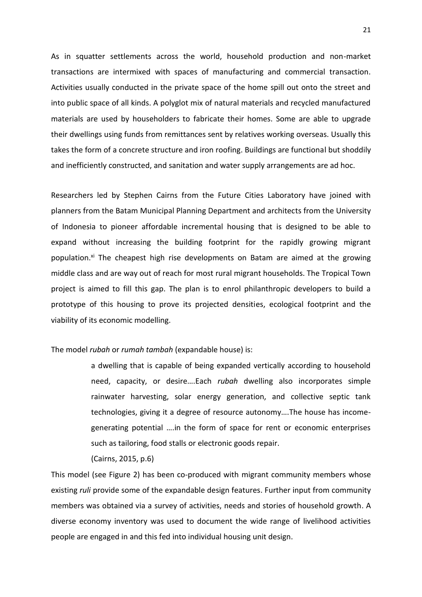As in squatter settlements across the world, household production and non-market transactions are intermixed with spaces of manufacturing and commercial transaction. Activities usually conducted in the private space of the home spill out onto the street and into public space of all kinds. A polyglot mix of natural materials and recycled manufactured materials are used by householders to fabricate their homes. Some are able to upgrade their dwellings using funds from remittances sent by relatives working overseas. Usually this takes the form of a concrete structure and iron roofing. Buildings are functional but shoddily and inefficiently constructed, and sanitation and water supply arrangements are ad hoc.

Researchers led by Stephen Cairns from the Future Cities Laboratory have joined with planners from the Batam Municipal Planning Department and architects from the University of Indonesia to pioneer affordable incremental housing that is designed to be able to expand without increasing the building footprint for the rapidly growing migrant population.<sup>xi</sup> The cheapest high rise developments on Batam are aimed at the growing middle class and are way out of reach for most rural migrant households. The Tropical Town project is aimed to fill this gap. The plan is to enrol philanthropic developers to build a prototype of this housing to prove its projected densities, ecological footprint and the viability of its economic modelling.

#### The model *rubah* or *rumah tambah* (expandable house) is:

a dwelling that is capable of being expanded vertically according to household need, capacity, or desire….Each *rubah* dwelling also incorporates simple rainwater harvesting, solar energy generation, and collective septic tank technologies, giving it a degree of resource autonomy….The house has incomegenerating potential ….in the form of space for rent or economic enterprises such as tailoring, food stalls or electronic goods repair.

(Cairns, 2015, p.6)

This model (see Figure 2) has been co-produced with migrant community members whose existing *ruli* provide some of the expandable design features. Further input from community members was obtained via a survey of activities, needs and stories of household growth. A diverse economy inventory was used to document the wide range of livelihood activities people are engaged in and this fed into individual housing unit design.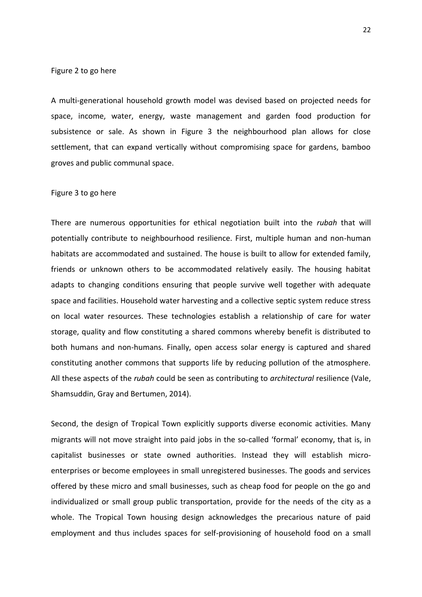#### Figure 2 to go here

A multi-generational household growth model was devised based on projected needs for space, income, water, energy, waste management and garden food production for subsistence or sale. As shown in Figure 3 the neighbourhood plan allows for close settlement, that can expand vertically without compromising space for gardens, bamboo groves and public communal space.

#### Figure 3 to go here

There are numerous opportunities for ethical negotiation built into the *rubah* that will potentially contribute to neighbourhood resilience. First, multiple human and non-human habitats are accommodated and sustained. The house is built to allow for extended family, friends or unknown others to be accommodated relatively easily. The housing habitat adapts to changing conditions ensuring that people survive well together with adequate space and facilities. Household water harvesting and a collective septic system reduce stress on local water resources. These technologies establish a relationship of care for water storage, quality and flow constituting a shared commons whereby benefit is distributed to both humans and non-humans. Finally, open access solar energy is captured and shared constituting another commons that supports life by reducing pollution of the atmosphere. All these aspects of the *rubah* could be seen as contributing to *architectural* resilience (Vale, Shamsuddin, Gray and Bertumen, 2014).

Second, the design of Tropical Town explicitly supports diverse economic activities. Many migrants will not move straight into paid jobs in the so-called 'formal' economy, that is, in capitalist businesses or state owned authorities. Instead they will establish microenterprises or become employees in small unregistered businesses. The goods and services offered by these micro and small businesses, such as cheap food for people on the go and individualized or small group public transportation, provide for the needs of the city as a whole. The Tropical Town housing design acknowledges the precarious nature of paid employment and thus includes spaces for self-provisioning of household food on a small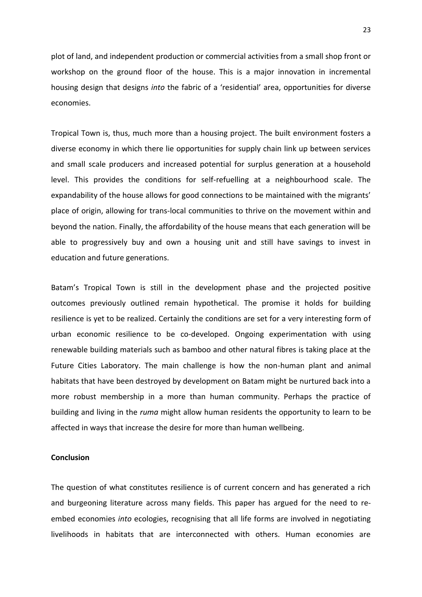plot of land, and independent production or commercial activities from a small shop front or workshop on the ground floor of the house. This is a major innovation in incremental housing design that designs *into* the fabric of a 'residential' area, opportunities for diverse economies.

Tropical Town is, thus, much more than a housing project. The built environment fosters a diverse economy in which there lie opportunities for supply chain link up between services and small scale producers and increased potential for surplus generation at a household level. This provides the conditions for self-refuelling at a neighbourhood scale. The expandability of the house allows for good connections to be maintained with the migrants' place of origin, allowing for trans-local communities to thrive on the movement within and beyond the nation. Finally, the affordability of the house means that each generation will be able to progressively buy and own a housing unit and still have savings to invest in education and future generations.

Batam's Tropical Town is still in the development phase and the projected positive outcomes previously outlined remain hypothetical. The promise it holds for building resilience is yet to be realized. Certainly the conditions are set for a very interesting form of urban economic resilience to be co-developed. Ongoing experimentation with using renewable building materials such as bamboo and other natural fibres is taking place at the Future Cities Laboratory. The main challenge is how the non-human plant and animal habitats that have been destroyed by development on Batam might be nurtured back into a more robust membership in a more than human community. Perhaps the practice of building and living in the *ruma* might allow human residents the opportunity to learn to be affected in ways that increase the desire for more than human wellbeing.

#### **Conclusion**

The question of what constitutes resilience is of current concern and has generated a rich and burgeoning literature across many fields. This paper has argued for the need to reembed economies *into* ecologies, recognising that all life forms are involved in negotiating livelihoods in habitats that are interconnected with others. Human economies are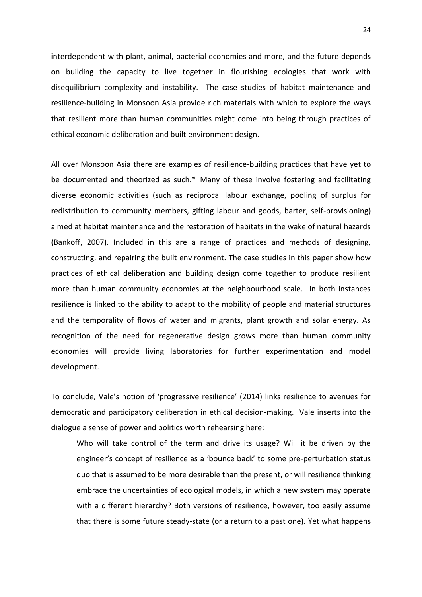interdependent with plant, animal, bacterial economies and more, and the future depends on building the capacity to live together in flourishing ecologies that work with disequilibrium complexity and instability. The case studies of habitat maintenance and resilience-building in Monsoon Asia provide rich materials with which to explore the ways that resilient more than human communities might come into being through practices of ethical economic deliberation and built environment design.

All over Monsoon Asia there are examples of resilience-building practices that have yet to be documented and theorized as such.<sup>xii</sup> Many of these involve fostering and facilitating diverse economic activities (such as reciprocal labour exchange, pooling of surplus for redistribution to community members, gifting labour and goods, barter, self-provisioning) aimed at habitat maintenance and the restoration of habitats in the wake of natural hazards (Bankoff, 2007). Included in this are a range of practices and methods of designing, constructing, and repairing the built environment. The case studies in this paper show how practices of ethical deliberation and building design come together to produce resilient more than human community economies at the neighbourhood scale. In both instances resilience is linked to the ability to adapt to the mobility of people and material structures and the temporality of flows of water and migrants, plant growth and solar energy. As recognition of the need for regenerative design grows more than human community economies will provide living laboratories for further experimentation and model development.

To conclude, Vale's notion of 'progressive resilience' (2014) links resilience to avenues for democratic and participatory deliberation in ethical decision-making. Vale inserts into the dialogue a sense of power and politics worth rehearsing here:

Who will take control of the term and drive its usage? Will it be driven by the engineer's concept of resilience as a 'bounce back' to some pre-perturbation status quo that is assumed to be more desirable than the present, or will resilience thinking embrace the uncertainties of ecological models, in which a new system may operate with a different hierarchy? Both versions of resilience, however, too easily assume that there is some future steady-state (or a return to a past one). Yet what happens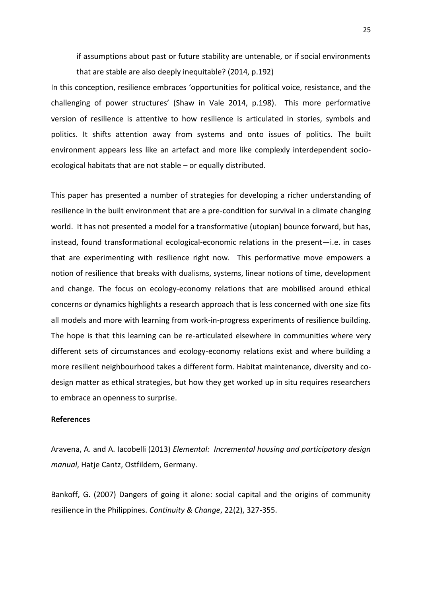if assumptions about past or future stability are untenable, or if social environments that are stable are also deeply inequitable? (2014, p.192)

In this conception, resilience embraces 'opportunities for political voice, resistance, and the challenging of power structures' (Shaw in Vale 2014, p.198). This more performative version of resilience is attentive to how resilience is articulated in stories, symbols and politics. It shifts attention away from systems and onto issues of politics. The built environment appears less like an artefact and more like complexly interdependent socioecological habitats that are not stable – or equally distributed.

This paper has presented a number of strategies for developing a richer understanding of resilience in the built environment that are a pre-condition for survival in a climate changing world. It has not presented a model for a transformative (utopian) bounce forward, but has, instead, found transformational ecological-economic relations in the present—i.e. in cases that are experimenting with resilience right now. This performative move empowers a notion of resilience that breaks with dualisms, systems, linear notions of time, development and change. The focus on ecology-economy relations that are mobilised around ethical concerns or dynamics highlights a research approach that is less concerned with one size fits all models and more with learning from work-in-progress experiments of resilience building. The hope is that this learning can be re-articulated elsewhere in communities where very different sets of circumstances and ecology-economy relations exist and where building a more resilient neighbourhood takes a different form. Habitat maintenance, diversity and codesign matter as ethical strategies, but how they get worked up in situ requires researchers to embrace an openness to surprise.

#### **References**

Aravena, A. and A. Iacobelli (2013) *Elemental: Incremental housing and participatory design manual*, Hatje Cantz, Ostfildern, Germany.

Bankoff, G. (2007) Dangers of going it alone: social capital and the origins of community resilience in the Philippines. *Continuity & Change*, 22(2), 327-355.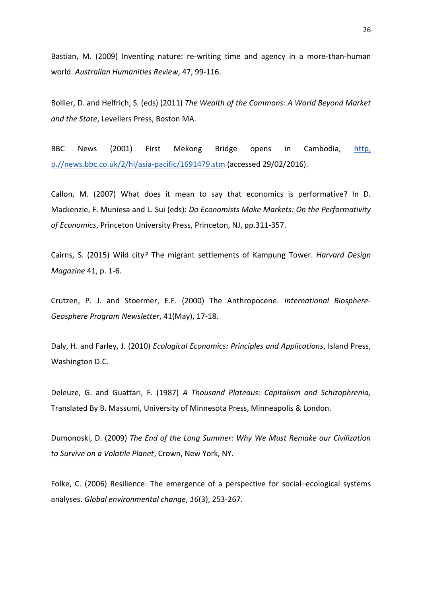Bastian, M. (2009) Inventing nature: re-writing time and agency in a more-than-human world. *Australian Humanities Review*, 47, 99-116.

Bollier, D. and Helfrich, S. (eds) (2011) *The Wealth of the Commons: A World Beyond Market and the State*, Levellers Press, Boston MA.

BBC News (2001) First Mekong Bridge opens in Cambodia, *http,* [p.//news.bbc.co.uk/2/hi/asia-pacific/1691479.stm](http://news.bbc.co.uk/2/hi/asia-pacific/1691479.stm) (accessed 29/02/2016).

Callon, M. (2007) What does it mean to say that economics is performative? In D. Mackenzie, F. Muniesa and L. Sui (eds): *Do Economists Make Markets: On the Performativity of Economics*, Princeton University Press, Princeton, NJ, pp.311-357.

Cairns, S. (2015) Wild city? The migrant settlements of Kampung Tower. *Harvard Design Magazine* 41, p. 1-6.

Crutzen, P. J. and Stoermer, E.F. (2000) The Anthropocene. *International Biosphere-Geosphere Program Newsletter*, 41(May), 17-18.

Daly, H. and Farley, J. (2010) *Ecological Economics: Principles and Applications*, Island Press, Washington D.C.

Deleuze, G. and Guattari, F. (1987) *A Thousand Plateaus: Capitalism and Schizophrenia,*  Translated By B. Massumi, University of Minnesota Press, Minneapolis & London.

Dumonoski, D. (2009) *The End of the Long Summer: Why We Must Remake our Civilization to Survive on a Volatile Planet*, Crown, New York, NY.

Folke, C. (2006) Resilience: The emergence of a perspective for social–ecological systems analyses. *Global environmental change*, *16*(3), 253-267.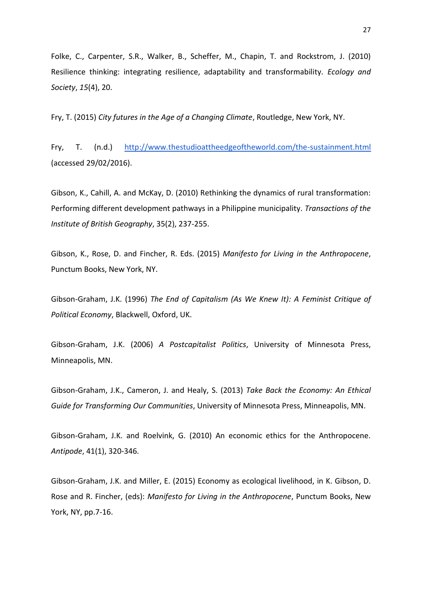Folke, C., Carpenter, S.R., Walker, B., Scheffer, M., Chapin, T. and Rockstrom, J. (2010) Resilience thinking: integrating resilience, adaptability and transformability. *Ecology and Society*, *15*(4), 20.

Fry, T. (2015) *City futures in the Age of a Changing Climate*, Routledge, New York, NY.

Fry, T. (n.d.[\)](http://www.thestudioattheedgeoftheworld.com/the-sustainment.html) <http://www.thestudioattheedgeoftheworld.com/the-sustainment.html> (accessed 29/02/2016).

Gibson, K., Cahill, A. and McKay, D. (2010) Rethinking the dynamics of rural transformation: Performing different development pathways in a Philippine municipality. *Transactions of the Institute of British Geography*, 35(2), 237-255.

Gibson, K., Rose, D. and Fincher, R. Eds. (2015) *Manifesto for Living in the Anthropocene*, Punctum Books, New York, NY.

Gibson-Graham, J.K. (1996) *The End of Capitalism (As We Knew It): A Feminist Critique of Political Economy*, Blackwell, Oxford, UK.

Gibson-Graham, J.K. (2006) *A Postcapitalist Politics*, University of Minnesota Press, Minneapolis, MN.

Gibson-Graham, J.K., Cameron, J. and Healy, S. (2013) *Take Back the Economy: An Ethical Guide for Transforming Our Communities*, University of Minnesota Press, Minneapolis, MN.

Gibson-Graham, J.K. and Roelvink, G. (2010) An economic ethics for the Anthropocene. *Antipode*, 41(1), 320-346.

Gibson-Graham, J.K. and Miller, E. (2015) Economy as ecological livelihood, in K. Gibson, D. Rose and R. Fincher, (eds): *Manifesto for Living in the Anthropocene*, Punctum Books, New York, NY, pp.7-16.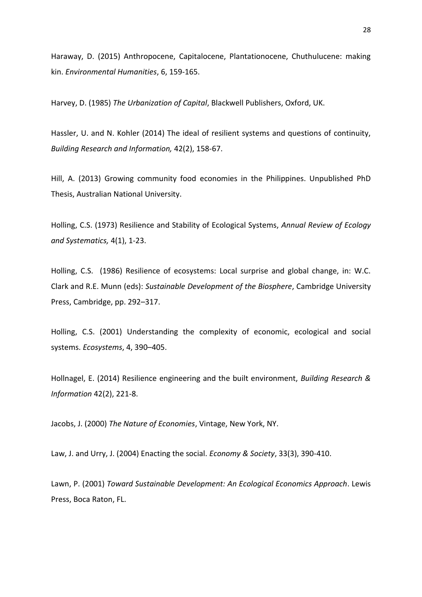Haraway, D. (2015) Anthropocene, Capitalocene, Plantationocene, Chuthulucene: making kin. *Environmental Humanities*, 6, 159-165.

Harvey, D. (1985) *The Urbanization of Capital*, Blackwell Publishers, Oxford, UK.

Hassler, U. and N. Kohler (2014) The ideal of resilient systems and questions of continuity, *Building Research and Information,* 42(2), 158-67.

Hill, A. (2013) Growing community food economies in the Philippines. Unpublished PhD Thesis, Australian National University.

Holling, C.S. (1973) Resilience and Stability of Ecological Systems, *Annual Review of Ecology and Systematics,* 4(1), 1-23.

Holling, C.S. (1986) Resilience of ecosystems: Local surprise and global change, in: W.C. Clark and R.E. Munn (eds): *Sustainable Development of the Biosphere*, Cambridge University Press, Cambridge, pp. 292–317.

Holling, C.S. (2001) Understanding the complexity of economic, ecological and social systems. *Ecosystems*, 4, 390–405.

Hollnagel, E. (2014) Resilience engineering and the built environment, *Building Research & Information* 42(2), 221-8.

Jacobs, J. (2000) *The Nature of Economies*, Vintage, New York, NY.

Law, J. and Urry, J. (2004) Enacting the social. *Economy & Society*, 33(3), 390-410.

Lawn, P. (2001) *Toward Sustainable Development: An Ecological Economics Approach*. Lewis Press, Boca Raton, FL.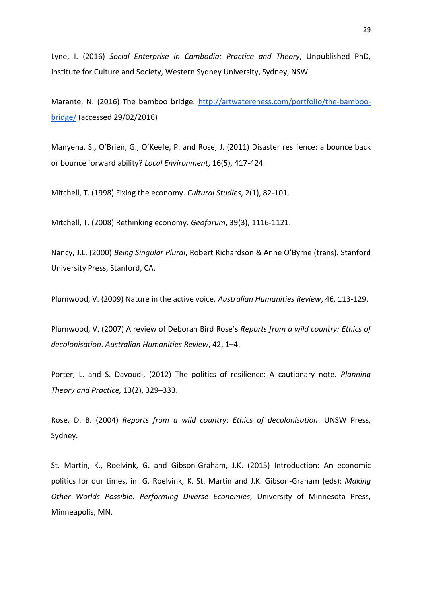Lyne, I. (2016) *Social Enterprise in Cambodia: Practice and Theory*, Unpublished PhD, Institute for Culture and Society, Western Sydney University, Sydney, NSW.

Marante, N. (2016) The bamboo bridge[.](http://artwatereness.com/portfolio/the-bamboo-bridge/) [http://artwatereness.com/portfolio/the-bamboo](http://artwatereness.com/portfolio/the-bamboo-bridge/)[bridge/](http://artwatereness.com/portfolio/the-bamboo-bridge/) (accessed 29/02/2016)

Manyena, S., O'Brien, G., O'Keefe, P. and Rose, J. (2011) Disaster resilience: a bounce back or bounce forward ability? *Local Environment*, 16(5), 417-424.

Mitchell, T. (1998) Fixing the economy. *Cultural Studies*, 2(1), 82-101.

Mitchell, T. (2008) Rethinking economy. *Geoforum*, 39(3), 1116-1121.

Nancy, J.L. (2000) *Being Singular Plural*, Robert Richardson & Anne O'Byrne (trans). Stanford University Press, Stanford, CA.

Plumwood, V. (2009) Nature in the active voice. *Australian Humanities Review*, 46, 113-129.

Plumwood, V. (2007) A review of Deborah Bird Rose's *Reports from a wild country: Ethics of decolonisation*. *Australian Humanities Review*, 42, 1–4.

Porter, L. and S. Davoudi, (2012) The politics of resilience: A cautionary note. *Planning Theory and Practice,* 13(2), 329–333.

Rose, D. B. (2004) *Reports from a wild country: Ethics of decolonisation*. UNSW Press, Sydney.

St. Martin, K., Roelvink, G. and Gibson-Graham, J.K. (2015) Introduction: An economic politics for our times, in: G. Roelvink, K. St. Martin and J.K. Gibson-Graham (eds): *Making Other Worlds Possible: Performing Diverse Economies*, University of Minnesota Press, Minneapolis, MN.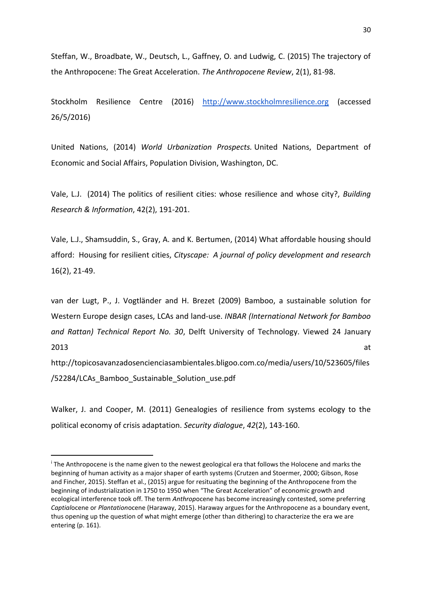Steffan, W., Broadbate, W., Deutsch, L., Gaffney, O. and Ludwig, C. (2015) The trajectory of the Anthropocene: The Great Acceleration. *The Anthropocene Review*, 2(1), 81-98.

Stockholm Resilience Centre (2016[\)](http://www.stockholmresilience.org/) [http://www.stockholmresilience.org](http://www.stockholmresilience.org/) (accessed 26/5/2016)

United Nations, (2014) *World Urbanization Prospects.* United Nations, Department of Economic and Social Affairs, Population Division, Washington, DC.

Vale, L.J. (2014) The politics of resilient cities: whose resilience and whose city?, *Building Research & Information*, 42(2), 191-201.

Vale, L.J., Shamsuddin, S., Gray, A. and K. Bertumen, (2014) What affordable housing should afford: Housing for resilient cities, *Cityscape: A journal of policy development and research* 16(2), 21-49.

van der Lugt, P., J. Vogtländer and H. Brezet (2009) Bamboo, a sustainable solution for Western Europe design cases, LCAs and land-use. *INBAR (International Network for Bamboo and Rattan) Technical Report No. 30*, Delft University of Technology. Viewed 24 January 2013 at http://topicosavanzadosencienciasambientales.bligoo.com.co/media/users/10/523605/files

/52284/LCAs\_Bamboo\_Sustainable\_Solution\_use.pdf

**.** 

Walker, J. and Cooper, M. (2011) Genealogies of resilience from systems ecology to the political economy of crisis adaptation. *Security dialogue*, *42*(2), 143-160.

<sup>&</sup>lt;sup>i</sup> The Anthropocene is the name given to the newest geological era that follows the Holocene and marks the beginning of human activity as a major shaper of earth systems (Crutzen and Stoermer, 2000; Gibson, Rose and Fincher, 2015). Steffan et al., (2015) argue for resituating the beginning of the Anthropocene from the beginning of industrialization in 1750 to 1950 when "The Great Acceleration" of economic growth and ecological interference took off. The term *Anthrop*ocene has become increasingly contested, some preferring *Captial*ocene or *Plantation*ocene (Haraway, 2015). Haraway argues for the Anthropocene as a boundary event, thus opening up the question of what might emerge (other than dithering) to characterize the era we are entering (p. 161).